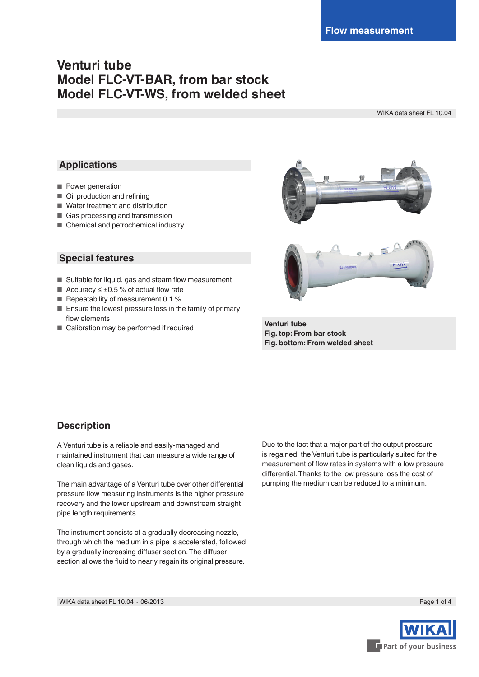# **Venturi tube Model FLC-VT-BAR, from bar stock Model FLC-VT-WS, from welded sheet**

WIKA data sheet FL 10.04

### **Applications**

- Power generation
- Oil production and refining
- Water treatment and distribution
- Gas processing and transmission
- Chemical and petrochemical industry

### **Special features**

- Suitable for liquid, gas and steam flow measurement
- Accuracy  $\leq \pm 0.5$  % of actual flow rate
- Repeatability of measurement 0.1 %
- Ensure the lowest pressure loss in the family of primary flow elements
- Calibration may be performed if required





**Venturi tube Fig. top: From bar stock Fig. bottom: From welded sheet**

### **Description**

A Venturi tube is a reliable and easily-managed and maintained instrument that can measure a wide range of clean liquids and gases.

The main advantage of a Venturi tube over other differential pressure flow measuring instruments is the higher pressure recovery and the lower upstream and downstream straight pipe length requirements.

The instrument consists of a gradually decreasing nozzle, through which the medium in a pipe is accelerated, followed by a gradually increasing diffuser section. The diffuser section allows the fluid to nearly regain its original pressure.

Due to the fact that a major part of the output pressure is regained, the Venturi tube is particularly suited for the measurement of flow rates in systems with a low pressure differential. Thanks to the low pressure loss the cost of pumping the medium can be reduced to a minimum.

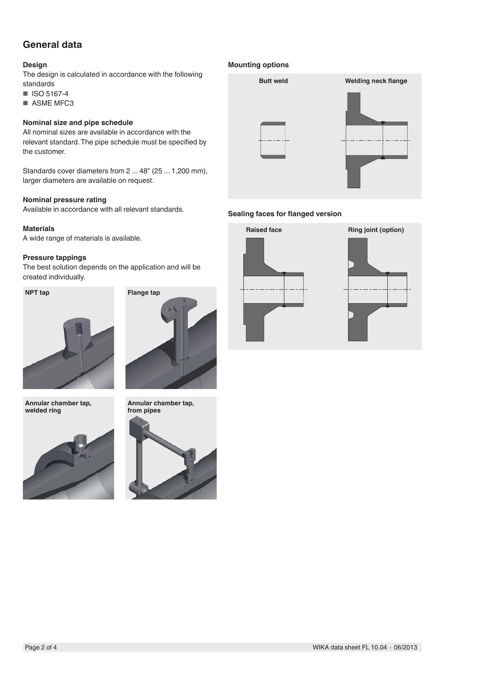## **General data**

### **Design**

The design is calculated in accordance with the following standards

■ ISO 5167-4

■ ASME MFC3

### **Nominal size and pipe schedule**

All nominal sizes are available in accordance with the relevant standard. The pipe schedule must be specified by the customer.

Standards cover diameters from 2 ... 48" (25 ... 1,200 mm), larger diameters are available on request.

### **Nominal pressure rating**

Available in accordance with all relevant standards.

#### **Materials**

A wide range of materials is available.

#### **Pressure tappings**

The best solution depends on the application and will be created individually.





**Annular chamber tap, welded ring**







#### **Mounting options**



### **Sealing faces for flanged version**



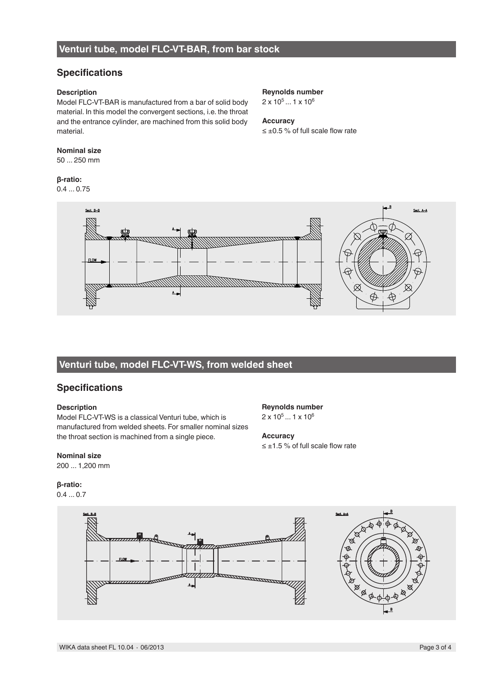## **Venturi tube, model FLC-VT-BAR, from bar stock**

### **Specifications**

### **Description**

Model FLC-VT-BAR is manufactured from a bar of solid body material. In this model the convergent sections, i.e. the throat and the entrance cylinder, are machined from this solid body material.

### **Nominal size**

50 ... 250 mm

### **β-ratio:**

0.4 ... 0.75



2 x 105 ... 1 x 106

## **Accuracy**

**Reynolds number** 2 x 105 ... 1 x 106

≤ ±1.5 % of full scale flow rate

**Accuracy**

≤ ±0.5 % of full scale flow rate



## **Venturi tube, model FLC-VT-WS, from welded sheet**

### **Specifications**

### **Description**

Model FLC-VT-WS is a classical Venturi tube, which is manufactured from welded sheets. For smaller nominal sizes the throat section is machined from a single piece.

### **Nominal size**

200 ... 1,200 mm

### **β-ratio:**

0.4 ... 0.7